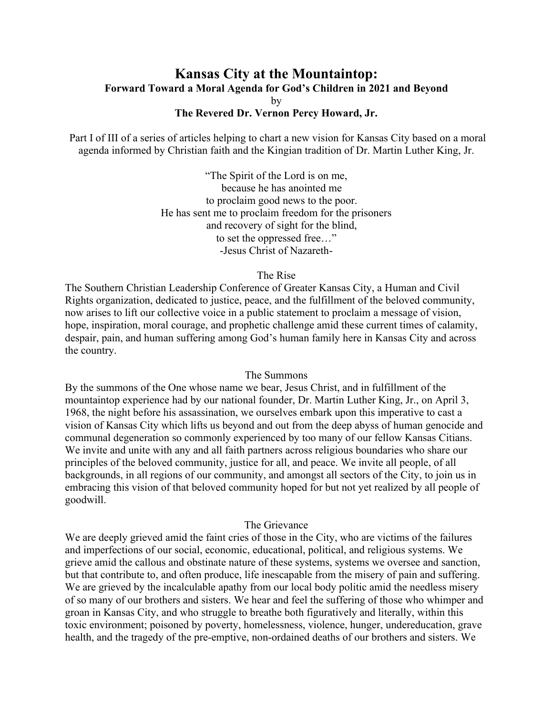# **Kansas City at the Mountaintop: Forward Toward a Moral Agenda for God's Children in 2021 and Beyond** by

# **The Revered Dr. Vernon Percy Howard, Jr.**

Part I of III of a series of articles helping to chart a new vision for Kansas City based on a moral agenda informed by Christian faith and the Kingian tradition of Dr. Martin Luther King, Jr.

> "The Spirit of the Lord is on me, because he has anointed me to proclaim good news to the poor. He has sent me to proclaim freedom for the prisoners and recovery of sight for the blind, to set the oppressed free…" -Jesus Christ of Nazareth-

#### The Rise

The Southern Christian Leadership Conference of Greater Kansas City, a Human and Civil Rights organization, dedicated to justice, peace, and the fulfillment of the beloved community, now arises to lift our collective voice in a public statement to proclaim a message of vision, hope, inspiration, moral courage, and prophetic challenge amid these current times of calamity, despair, pain, and human suffering among God's human family here in Kansas City and across the country.

### The Summons

By the summons of the One whose name we bear, Jesus Christ, and in fulfillment of the mountaintop experience had by our national founder, Dr. Martin Luther King, Jr., on April 3, 1968, the night before his assassination, we ourselves embark upon this imperative to cast a vision of Kansas City which lifts us beyond and out from the deep abyss of human genocide and communal degeneration so commonly experienced by too many of our fellow Kansas Citians. We invite and unite with any and all faith partners across religious boundaries who share our principles of the beloved community, justice for all, and peace. We invite all people, of all backgrounds, in all regions of our community, and amongst all sectors of the City, to join us in embracing this vision of that beloved community hoped for but not yet realized by all people of goodwill.

# The Grievance

We are deeply grieved amid the faint cries of those in the City, who are victims of the failures and imperfections of our social, economic, educational, political, and religious systems. We grieve amid the callous and obstinate nature of these systems, systems we oversee and sanction, but that contribute to, and often produce, life inescapable from the misery of pain and suffering. We are grieved by the incalculable apathy from our local body politic amid the needless misery of so many of our brothers and sisters. We hear and feel the suffering of those who whimper and groan in Kansas City, and who struggle to breathe both figuratively and literally, within this toxic environment; poisoned by poverty, homelessness, violence, hunger, undereducation, grave health, and the tragedy of the pre-emptive, non-ordained deaths of our brothers and sisters. We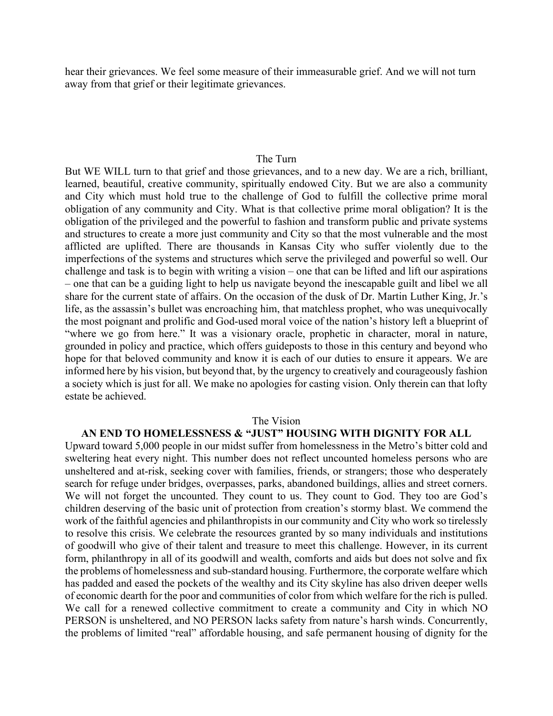hear their grievances. We feel some measure of their immeasurable grief. And we will not turn away from that grief or their legitimate grievances.

## The Turn

But WE WILL turn to that grief and those grievances, and to a new day. We are a rich, brilliant, learned, beautiful, creative community, spiritually endowed City. But we are also a community and City which must hold true to the challenge of God to fulfill the collective prime moral obligation of any community and City. What is that collective prime moral obligation? It is the obligation of the privileged and the powerful to fashion and transform public and private systems and structures to create a more just community and City so that the most vulnerable and the most afflicted are uplifted. There are thousands in Kansas City who suffer violently due to the imperfections of the systems and structures which serve the privileged and powerful so well. Our challenge and task is to begin with writing a vision – one that can be lifted and lift our aspirations – one that can be a guiding light to help us navigate beyond the inescapable guilt and libel we all share for the current state of affairs. On the occasion of the dusk of Dr. Martin Luther King, Jr.'s life, as the assassin's bullet was encroaching him, that matchless prophet, who was unequivocally the most poignant and prolific and God-used moral voice of the nation's history left a blueprint of "where we go from here." It was a visionary oracle, prophetic in character, moral in nature, grounded in policy and practice, which offers guideposts to those in this century and beyond who hope for that beloved community and know it is each of our duties to ensure it appears. We are informed here by his vision, but beyond that, by the urgency to creatively and courageously fashion a society which is just for all. We make no apologies for casting vision. Only therein can that lofty estate be achieved.

### The Vision

## **AN END TO HOMELESSNESS & "JUST" HOUSING WITH DIGNITY FOR ALL**

Upward toward 5,000 people in our midst suffer from homelessness in the Metro's bitter cold and sweltering heat every night. This number does not reflect uncounted homeless persons who are unsheltered and at-risk, seeking cover with families, friends, or strangers; those who desperately search for refuge under bridges, overpasses, parks, abandoned buildings, allies and street corners. We will not forget the uncounted. They count to us. They count to God. They too are God's children deserving of the basic unit of protection from creation's stormy blast. We commend the work of the faithful agencies and philanthropists in our community and City who work so tirelessly to resolve this crisis. We celebrate the resources granted by so many individuals and institutions of goodwill who give of their talent and treasure to meet this challenge. However, in its current form, philanthropy in all of its goodwill and wealth, comforts and aids but does not solve and fix the problems of homelessness and sub-standard housing. Furthermore, the corporate welfare which has padded and eased the pockets of the wealthy and its City skyline has also driven deeper wells of economic dearth for the poor and communities of color from which welfare for the rich is pulled. We call for a renewed collective commitment to create a community and City in which NO PERSON is unsheltered, and NO PERSON lacks safety from nature's harsh winds. Concurrently, the problems of limited "real" affordable housing, and safe permanent housing of dignity for the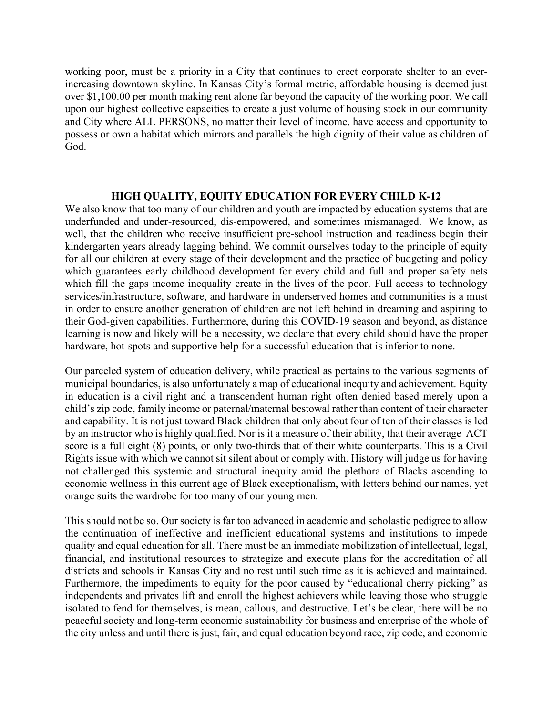working poor, must be a priority in a City that continues to erect corporate shelter to an everincreasing downtown skyline. In Kansas City's formal metric, affordable housing is deemed just over \$1,100.00 per month making rent alone far beyond the capacity of the working poor. We call upon our highest collective capacities to create a just volume of housing stock in our community and City where ALL PERSONS, no matter their level of income, have access and opportunity to possess or own a habitat which mirrors and parallels the high dignity of their value as children of God.

## **HIGH QUALITY, EQUITY EDUCATION FOR EVERY CHILD K-12**

We also know that too many of our children and youth are impacted by education systems that are underfunded and under-resourced, dis-empowered, and sometimes mismanaged. We know, as well, that the children who receive insufficient pre-school instruction and readiness begin their kindergarten years already lagging behind. We commit ourselves today to the principle of equity for all our children at every stage of their development and the practice of budgeting and policy which guarantees early childhood development for every child and full and proper safety nets which fill the gaps income inequality create in the lives of the poor. Full access to technology services/infrastructure, software, and hardware in underserved homes and communities is a must in order to ensure another generation of children are not left behind in dreaming and aspiring to their God-given capabilities. Furthermore, during this COVID-19 season and beyond, as distance learning is now and likely will be a necessity, we declare that every child should have the proper hardware, hot-spots and supportive help for a successful education that is inferior to none.

Our parceled system of education delivery, while practical as pertains to the various segments of municipal boundaries, is also unfortunately a map of educational inequity and achievement. Equity in education is a civil right and a transcendent human right often denied based merely upon a child's zip code, family income or paternal/maternal bestowal rather than content of their character and capability. It is not just toward Black children that only about four of ten of their classes is led by an instructor who is highly qualified. Nor is it a measure of their ability, that their average ACT score is a full eight (8) points, or only two-thirds that of their white counterparts. This is a Civil Rights issue with which we cannot sit silent about or comply with. History will judge us for having not challenged this systemic and structural inequity amid the plethora of Blacks ascending to economic wellness in this current age of Black exceptionalism, with letters behind our names, yet orange suits the wardrobe for too many of our young men.

This should not be so. Our society is far too advanced in academic and scholastic pedigree to allow the continuation of ineffective and inefficient educational systems and institutions to impede quality and equal education for all. There must be an immediate mobilization of intellectual, legal, financial, and institutional resources to strategize and execute plans for the accreditation of all districts and schools in Kansas City and no rest until such time as it is achieved and maintained. Furthermore, the impediments to equity for the poor caused by "educational cherry picking" as independents and privates lift and enroll the highest achievers while leaving those who struggle isolated to fend for themselves, is mean, callous, and destructive. Let's be clear, there will be no peaceful society and long-term economic sustainability for business and enterprise of the whole of the city unless and until there is just, fair, and equal education beyond race, zip code, and economic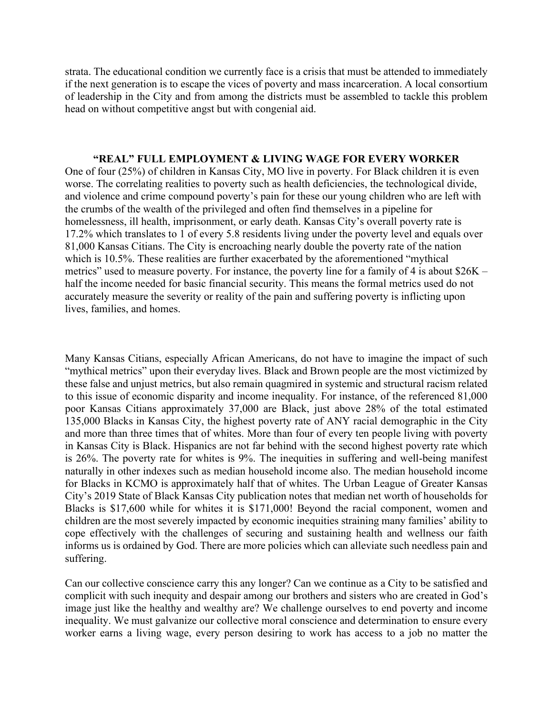strata. The educational condition we currently face is a crisis that must be attended to immediately if the next generation is to escape the vices of poverty and mass incarceration. A local consortium of leadership in the City and from among the districts must be assembled to tackle this problem head on without competitive angst but with congenial aid.

## **"REAL" FULL EMPLOYMENT & LIVING WAGE FOR EVERY WORKER**

One of four (25%) of children in Kansas City, MO live in poverty. For Black children it is even worse. The correlating realities to poverty such as health deficiencies, the technological divide, and violence and crime compound poverty's pain for these our young children who are left with the crumbs of the wealth of the privileged and often find themselves in a pipeline for homelessness, ill health, imprisonment, or early death. Kansas City's overall poverty rate is 17.2% which translates to 1 of every 5.8 residents living under the poverty level and equals over 81,000 Kansas Citians. The City is encroaching nearly double the poverty rate of the nation which is 10.5%. These realities are further exacerbated by the aforementioned "mythical" metrics" used to measure poverty. For instance, the poverty line for a family of 4 is about \$26K – half the income needed for basic financial security. This means the formal metrics used do not accurately measure the severity or reality of the pain and suffering poverty is inflicting upon lives, families, and homes.

Many Kansas Citians, especially African Americans, do not have to imagine the impact of such "mythical metrics" upon their everyday lives. Black and Brown people are the most victimized by these false and unjust metrics, but also remain quagmired in systemic and structural racism related to this issue of economic disparity and income inequality. For instance, of the referenced 81,000 poor Kansas Citians approximately 37,000 are Black, just above 28% of the total estimated 135,000 Blacks in Kansas City, the highest poverty rate of ANY racial demographic in the City and more than three times that of whites. More than four of every ten people living with poverty in Kansas City is Black. Hispanics are not far behind with the second highest poverty rate which is 26%. The poverty rate for whites is 9%. The inequities in suffering and well-being manifest naturally in other indexes such as median household income also. The median household income for Blacks in KCMO is approximately half that of whites. The Urban League of Greater Kansas City's 2019 State of Black Kansas City publication notes that median net worth of households for Blacks is \$17,600 while for whites it is \$171,000! Beyond the racial component, women and children are the most severely impacted by economic inequities straining many families' ability to cope effectively with the challenges of securing and sustaining health and wellness our faith informs us is ordained by God. There are more policies which can alleviate such needless pain and suffering.

Can our collective conscience carry this any longer? Can we continue as a City to be satisfied and complicit with such inequity and despair among our brothers and sisters who are created in God's image just like the healthy and wealthy are? We challenge ourselves to end poverty and income inequality. We must galvanize our collective moral conscience and determination to ensure every worker earns a living wage, every person desiring to work has access to a job no matter the